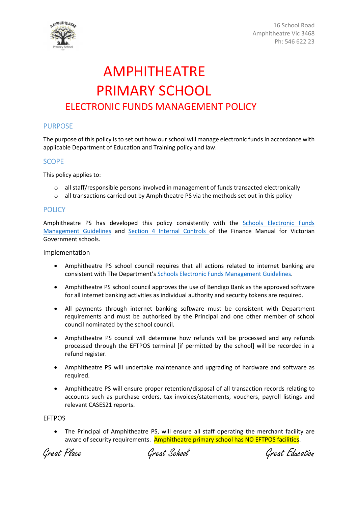

16 School Road Amphitheatre Vic 3468 Ph: 546 622 23

## AMPHITHEATRE PRIMARY SCHOOL ELECTRONIC FUNDS MANAGEMENT POLICY

### PURPOSE

The purpose of this policy is to set out how our school will manage electronic funds in accordance with applicable Department of Education and Training policy and law.

#### **SCOPE**

This policy applies to:

- $\circ$  all staff/responsible persons involved in management of funds transacted electronically
- $\circ$  all transactions carried out by Amphitheatre PS via the methods set out in this policy

#### **POLICY**

Amphitheatre PS has developed this policy consistently with the Schools Electronic Funds Management Guidelines and Section 4 Internal Controls of the Finance Manual for Victorian Government schools.

#### Implementation

- Amphitheatre PS school council requires that all actions related to internet banking are consistent with The Department's Schools Electronic Funds Management Guidelines.
- Amphitheatre PS school council approves the use of Bendigo Bank as the approved software for all internet banking activities as individual authority and security tokens are required.
- All payments through internet banking software must be consistent with Department requirements and must be authorised by the Principal and one other member of school council nominated by the school council.
- Amphitheatre PS council will determine how refunds will be processed and any refunds processed through the EFTPOS terminal [if permitted by the school] will be recorded in a refund register.
- Amphitheatre PS will undertake maintenance and upgrading of hardware and software as required.
- Amphitheatre PS will ensure proper retention/disposal of all transaction records relating to accounts such as purchase orders, tax invoices/statements, vouchers, payroll listings and relevant CASES21 reports.

#### EFTPOS

 The Principal of Amphitheatre PS, will ensure all staff operating the merchant facility are aware of security requirements. Amphitheatre primary school has NO EFTPOS facilities.

Great Place Great School Great Education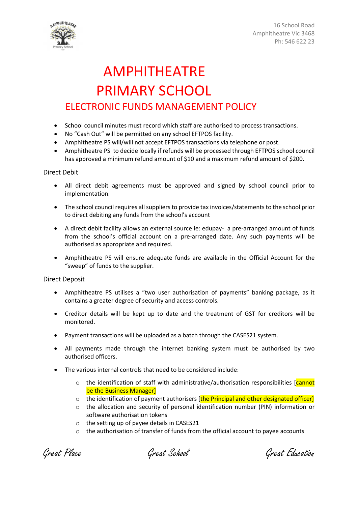



## AMPHITHEATRE PRIMARY SCHOOL ELECTRONIC FUNDS MANAGEMENT POLICY

- School council minutes must record which staff are authorised to process transactions.
- No "Cash Out" will be permitted on any school EFTPOS facility.
- Amphitheatre PS will/will not accept EFTPOS transactions via telephone or post.
- Amphitheatre PS to decide locally if refunds will be processed through EFTPOS school council has approved a minimum refund amount of \$10 and a maximum refund amount of \$200.

### Direct Debit

- All direct debit agreements must be approved and signed by school council prior to implementation.
- The school council requires all suppliers to provide tax invoices/statements to the school prior to direct debiting any funds from the school's account
- A direct debit facility allows an external source ie: edupay- a pre-arranged amount of funds from the school's official account on a pre-arranged date. Any such payments will be authorised as appropriate and required.
- Amphitheatre PS will ensure adequate funds are available in the Official Account for the "sweep" of funds to the supplier.

#### Direct Deposit

- Amphitheatre PS utilises a "two user authorisation of payments" banking package, as it contains a greater degree of security and access controls.
- Creditor details will be kept up to date and the treatment of GST for creditors will be monitored.
- Payment transactions will be uploaded as a batch through the CASES21 system.
- All payments made through the internet banking system must be authorised by two authorised officers.
- The various internal controls that need to be considered include:
	- $\circ$  the identification of staff with administrative/authorisation responsibilities [cannot] be the Business Manager]
	- $\circ$  the identification of payment authorisers [the Principal and other designated officer]
	- o the allocation and security of personal identification number (PIN) information or software authorisation tokens
	- o the setting up of payee details in CASES21
	- $\circ$  the authorisation of transfer of funds from the official account to payee accounts

Great Place Great School Great Education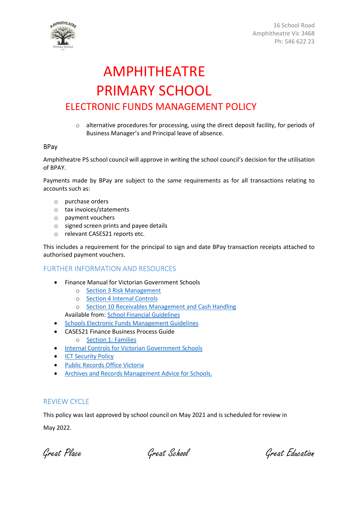

16 School Road Amphitheatre Vic 3468 Ph: 546 622 23

## AMPHITHEATRE PRIMARY SCHOOL ELECTRONIC FUNDS MANAGEMENT POLICY

o alternative procedures for processing, using the direct deposit facility, for periods of Business Manager's and Principal leave of absence.

#### BPay

Amphitheatre PS school council will approve in writing the school council's decision for the utilisation of BPAY.

Payments made by BPay are subject to the same requirements as for all transactions relating to accounts such as:

- o purchase orders
- o tax invoices/statements
- o payment vouchers
- o signed screen prints and payee details
- o relevant CASES21 reports etc.

This includes a requirement for the principal to sign and date BPay transaction receipts attached to authorised payment vouchers.

#### FURTHER INFORMATION AND RESOURCES

- Finance Manual for Victorian Government Schools
	- o Section 3 Risk Management
	- o Section 4 Internal Controls
	- o Section 10 Receivables Management and Cash Handling

Available from: School Financial Guidelines

- **Schools Electronic Funds Management Guidelines**
- CASES21 Finance Business Process Guide
	- o Section 1: Families
- **•** Internal Controls for Victorian Government Schools
- **ICT Security Policy**
- Public Records Office Victoria
- **Archives and Records Management Advice for Schools.**

### REVIEW CYCLE

This policy was last approved by school council on May 2021 and is scheduled for review in

May 2022.

Great Place Great School Great Education